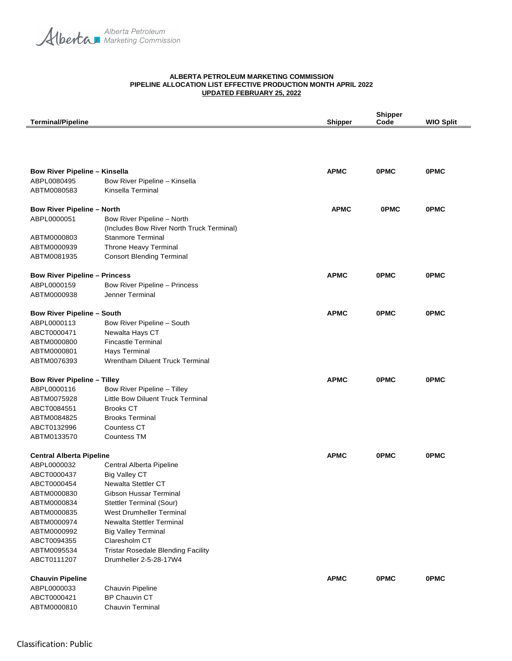Alberta Petroleum

## **ALBERTA PETROLEUM MARKETING COMMISSION PIPELINE ALLOCATION LIST EFFECTIVE PRODUCTION MONTH APRIL 2022 UPDATED FEBRUARY 25, 2022**

|                                      |                                           |                | <b>Shipper</b> |                  |
|--------------------------------------|-------------------------------------------|----------------|----------------|------------------|
| <b>Terminal/Pipeline</b>             |                                           | <b>Shipper</b> | Code           | <b>WIO Split</b> |
|                                      |                                           |                |                |                  |
|                                      |                                           |                |                |                  |
| <b>Bow River Pipeline - Kinsella</b> |                                           | <b>APMC</b>    | <b>OPMC</b>    | <b>OPMC</b>      |
| ABPL0080495                          | Bow River Pipeline - Kinsella             |                |                |                  |
| ABTM0080583                          | Kinsella Terminal                         |                |                |                  |
| <b>Bow River Pipeline - North</b>    |                                           | <b>APMC</b>    | <b>OPMC</b>    | <b>OPMC</b>      |
| ABPL0000051                          | Bow River Pipeline - North                |                |                |                  |
|                                      | (Includes Bow River North Truck Terminal) |                |                |                  |
| ABTM0000803                          | <b>Stanmore Terminal</b>                  |                |                |                  |
| ABTM0000939                          | Throne Heavy Terminal                     |                |                |                  |
| ABTM0081935                          | <b>Consort Blending Terminal</b>          |                |                |                  |
| <b>Bow River Pipeline - Princess</b> |                                           | <b>APMC</b>    | <b>OPMC</b>    | <b>OPMC</b>      |
| ABPL0000159                          | Bow River Pipeline - Princess             |                |                |                  |
| ABTM0000938                          | Jenner Terminal                           |                |                |                  |
| <b>Bow River Pipeline - South</b>    |                                           | <b>APMC</b>    | <b>OPMC</b>    | <b>OPMC</b>      |
| ABPL0000113                          | Bow River Pipeline - South                |                |                |                  |
| ABCT0000471                          | Newalta Hays CT                           |                |                |                  |
| ABTM0000800                          | <b>Fincastle Terminal</b>                 |                |                |                  |
| ABTM0000801                          | Hays Terminal                             |                |                |                  |
| ABTM0076393                          | Wrentham Diluent Truck Terminal           |                |                |                  |
| <b>Bow River Pipeline - Tilley</b>   |                                           | <b>APMC</b>    | <b>OPMC</b>    | <b>OPMC</b>      |
| ABPL0000116                          | Bow River Pipeline - Tilley               |                |                |                  |
| ABTM0075928                          | Little Bow Diluent Truck Terminal         |                |                |                  |
| ABCT0084551                          | <b>Brooks CT</b>                          |                |                |                  |
| ABTM0084825                          | <b>Brooks Terminal</b>                    |                |                |                  |
| ABCT0132996                          | <b>Countess CT</b>                        |                |                |                  |
| ABTM0133570                          | <b>Countess TM</b>                        |                |                |                  |
| <b>Central Alberta Pipeline</b>      |                                           | <b>APMC</b>    | <b>OPMC</b>    | <b>OPMC</b>      |
| ABPL0000032                          | Central Alberta Pipeline                  |                |                |                  |
| ABCT0000437                          | <b>Big Valley CT</b>                      |                |                |                  |
| ABCT0000454                          | Newalta Stettler CT                       |                |                |                  |
| ABTM0000830                          | Gibson Hussar Terminal                    |                |                |                  |
| ABTM0000834                          | Stettler Terminal (Sour)                  |                |                |                  |
| ABTM0000835                          | <b>West Drumheller Terminal</b>           |                |                |                  |
| ABTM0000974                          | Newalta Stettler Terminal                 |                |                |                  |
| ABTM0000992                          | <b>Big Valley Terminal</b>                |                |                |                  |
| ABCT0094355                          | Claresholm CT                             |                |                |                  |
| ABTM0095534                          | <b>Tristar Rosedale Blending Facility</b> |                |                |                  |
| ABCT0111207                          | Drumheller 2-5-28-17W4                    |                |                |                  |
| <b>Chauvin Pipeline</b>              |                                           | <b>APMC</b>    | <b>OPMC</b>    | <b>OPMC</b>      |
| ABPL0000033                          | Chauvin Pipeline                          |                |                |                  |
| ABCT0000421                          | <b>BP Chauvin CT</b>                      |                |                |                  |
| ABTM0000810                          | <b>Chauvin Terminal</b>                   |                |                |                  |
|                                      |                                           |                |                |                  |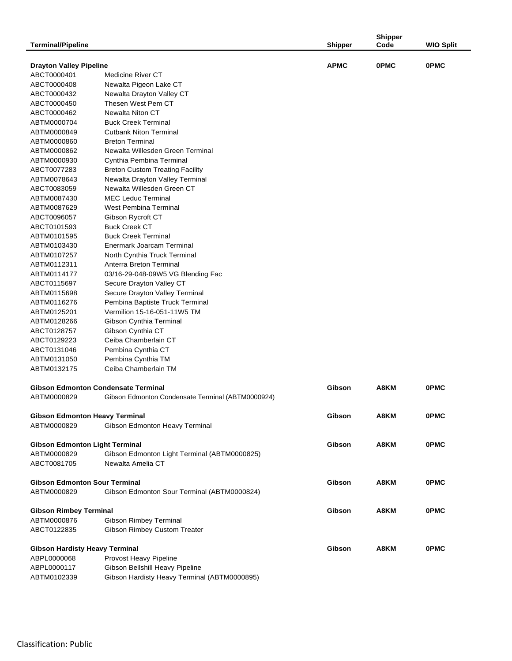| <b>Terminal/Pipeline</b>                   |                                                   | <b>Shipper</b> | <b>Shipper</b><br>Code | <b>WIO Split</b> |
|--------------------------------------------|---------------------------------------------------|----------------|------------------------|------------------|
|                                            |                                                   |                |                        |                  |
| <b>Drayton Valley Pipeline</b>             |                                                   | <b>APMC</b>    | <b>OPMC</b>            | <b>OPMC</b>      |
| ABCT0000401                                | Medicine River CT                                 |                |                        |                  |
| ABCT0000408                                | Newalta Pigeon Lake CT                            |                |                        |                  |
| ABCT0000432                                | Newalta Drayton Valley CT                         |                |                        |                  |
| ABCT0000450                                | Thesen West Pem CT                                |                |                        |                  |
| ABCT0000462                                | Newalta Niton CT                                  |                |                        |                  |
| ABTM0000704                                | <b>Buck Creek Terminal</b>                        |                |                        |                  |
| ABTM0000849                                | <b>Cutbank Niton Terminal</b>                     |                |                        |                  |
| ABTM0000860                                | <b>Breton Terminal</b>                            |                |                        |                  |
| ABTM0000862                                | Newalta Willesden Green Terminal                  |                |                        |                  |
| ABTM0000930                                | Cynthia Pembina Terminal                          |                |                        |                  |
| ABCT0077283                                | <b>Breton Custom Treating Facility</b>            |                |                        |                  |
| ABTM0078643                                | Newalta Drayton Valley Terminal                   |                |                        |                  |
| ABCT0083059                                | Newalta Willesden Green CT                        |                |                        |                  |
| ABTM0087430                                | <b>MEC Leduc Terminal</b>                         |                |                        |                  |
| ABTM0087629                                | <b>West Pembina Terminal</b>                      |                |                        |                  |
| ABCT0096057                                | Gibson Rycroft CT                                 |                |                        |                  |
| ABCT0101593                                | <b>Buck Creek CT</b>                              |                |                        |                  |
| ABTM0101595                                | <b>Buck Creek Terminal</b>                        |                |                        |                  |
| ABTM0103430                                | Enermark Joarcam Terminal                         |                |                        |                  |
| ABTM0107257                                | North Cynthia Truck Terminal                      |                |                        |                  |
| ABTM0112311                                | Anterra Breton Terminal                           |                |                        |                  |
| ABTM0114177                                | 03/16-29-048-09W5 VG Blending Fac                 |                |                        |                  |
| ABCT0115697                                | Secure Drayton Valley CT                          |                |                        |                  |
| ABTM0115698                                | Secure Drayton Valley Terminal                    |                |                        |                  |
| ABTM0116276                                | Pembina Baptiste Truck Terminal                   |                |                        |                  |
| ABTM0125201                                | Vermilion 15-16-051-11W5 TM                       |                |                        |                  |
| ABTM0128266                                | Gibson Cynthia Terminal                           |                |                        |                  |
| ABCT0128757                                | Gibson Cynthia CT                                 |                |                        |                  |
| ABCT0129223                                | Ceiba Chamberlain CT                              |                |                        |                  |
| ABCT0131046                                | Pembina Cynthia CT                                |                |                        |                  |
| ABTM0131050                                | Pembina Cynthia TM                                |                |                        |                  |
| ABTM0132175                                | Ceiba Chamberlain TM                              |                |                        |                  |
| <b>Gibson Edmonton Condensate Terminal</b> |                                                   | Gibson         | A8KM                   | <b>OPMC</b>      |
| ABTM0000829                                | Gibson Edmonton Condensate Terminal (ABTM0000924) |                |                        |                  |
|                                            |                                                   |                |                        |                  |
| <b>Gibson Edmonton Heavy Terminal</b>      |                                                   | Gibson         | A8KM                   | <b>OPMC</b>      |
| ABTM0000829                                | Gibson Edmonton Heavy Terminal                    |                |                        |                  |
| <b>Gibson Edmonton Light Terminal</b>      |                                                   | Gibson         | A8KM                   | <b>OPMC</b>      |
| ABTM0000829                                | Gibson Edmonton Light Terminal (ABTM0000825)      |                |                        |                  |
| ABCT0081705                                | Newalta Amelia CT                                 |                |                        |                  |
|                                            |                                                   |                |                        |                  |
| <b>Gibson Edmonton Sour Terminal</b>       |                                                   | Gibson         | A8KM                   | <b>OPMC</b>      |
| ABTM0000829                                | Gibson Edmonton Sour Terminal (ABTM0000824)       |                |                        |                  |
|                                            |                                                   |                |                        |                  |
| <b>Gibson Rimbey Terminal</b>              |                                                   | Gibson         | A8KM                   | <b>OPMC</b>      |
| ABTM0000876                                | Gibson Rimbey Terminal                            |                |                        |                  |
| ABCT0122835                                | <b>Gibson Rimbey Custom Treater</b>               |                |                        |                  |
|                                            |                                                   |                |                        |                  |
| <b>Gibson Hardisty Heavy Terminal</b>      |                                                   | Gibson         | A8KM                   | <b>OPMC</b>      |
| ABPL0000068                                | Provost Heavy Pipeline                            |                |                        |                  |
| ABPL0000117                                | Gibson Bellshill Heavy Pipeline                   |                |                        |                  |
| ABTM0102339                                | Gibson Hardisty Heavy Terminal (ABTM0000895)      |                |                        |                  |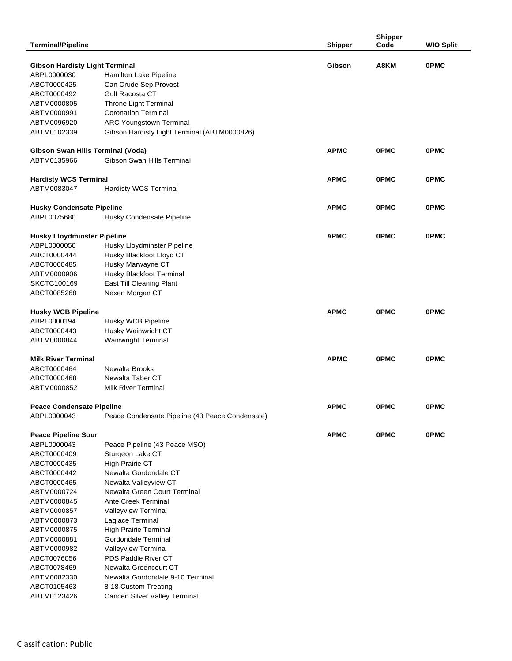|                                       |                                                 |                | <b>Shipper</b> |                  |
|---------------------------------------|-------------------------------------------------|----------------|----------------|------------------|
| <b>Terminal/Pipeline</b>              |                                                 | <b>Shipper</b> | Code           | <b>WIO Split</b> |
|                                       |                                                 |                |                |                  |
| <b>Gibson Hardisty Light Terminal</b> |                                                 | Gibson         | A8KM           | <b>OPMC</b>      |
| ABPL0000030                           | Hamilton Lake Pipeline                          |                |                |                  |
| ABCT0000425                           | Can Crude Sep Provost                           |                |                |                  |
| ABCT0000492                           | <b>Gulf Racosta CT</b>                          |                |                |                  |
| ABTM0000805                           | Throne Light Terminal                           |                |                |                  |
| ABTM0000991                           | <b>Coronation Terminal</b>                      |                |                |                  |
| ABTM0096920                           | <b>ARC Youngstown Terminal</b>                  |                |                |                  |
| ABTM0102339                           | Gibson Hardisty Light Terminal (ABTM0000826)    |                |                |                  |
|                                       |                                                 |                |                |                  |
| Gibson Swan Hills Terminal (Voda)     | Gibson Swan Hills Terminal                      | <b>APMC</b>    | <b>OPMC</b>    | <b>OPMC</b>      |
| ABTM0135966                           |                                                 |                |                |                  |
| <b>Hardisty WCS Terminal</b>          |                                                 | <b>APMC</b>    | <b>OPMC</b>    | <b>OPMC</b>      |
| ABTM0083047                           | <b>Hardisty WCS Terminal</b>                    |                |                |                  |
|                                       |                                                 |                |                |                  |
| <b>Husky Condensate Pipeline</b>      |                                                 | <b>APMC</b>    | <b>OPMC</b>    | <b>OPMC</b>      |
| ABPL0075680                           | Husky Condensate Pipeline                       |                |                |                  |
|                                       |                                                 |                |                |                  |
| <b>Husky Lloydminster Pipeline</b>    |                                                 | <b>APMC</b>    | <b>OPMC</b>    | <b>OPMC</b>      |
| ABPL0000050                           | Husky Lloydminster Pipeline                     |                |                |                  |
| ABCT0000444                           | Husky Blackfoot Lloyd CT                        |                |                |                  |
| ABCT0000485                           | Husky Marwayne CT                               |                |                |                  |
| ABTM0000906                           | Husky Blackfoot Terminal                        |                |                |                  |
| SKCTC100169                           | East Till Cleaning Plant                        |                |                |                  |
| ABCT0085268                           | Nexen Morgan CT                                 |                |                |                  |
|                                       |                                                 |                |                |                  |
| <b>Husky WCB Pipeline</b>             |                                                 | <b>APMC</b>    | <b>OPMC</b>    | <b>OPMC</b>      |
| ABPL0000194                           | Husky WCB Pipeline                              |                |                |                  |
| ABCT0000443                           | Husky Wainwright CT                             |                |                |                  |
| ABTM0000844                           | <b>Wainwright Terminal</b>                      |                |                |                  |
|                                       |                                                 |                |                |                  |
| <b>Milk River Terminal</b>            |                                                 | <b>APMC</b>    | <b>OPMC</b>    | <b>OPMC</b>      |
| ABCT0000464                           | Newalta Brooks                                  |                |                |                  |
| ABCT0000468                           | Newalta Taber CT                                |                |                |                  |
| ABTM0000852                           | <b>Milk River Terminal</b>                      |                |                |                  |
|                                       |                                                 |                |                |                  |
| <b>Peace Condensate Pipeline</b>      |                                                 | <b>APMC</b>    | <b>OPMC</b>    | <b>OPMC</b>      |
| ABPL0000043                           | Peace Condensate Pipeline (43 Peace Condensate) |                |                |                  |
|                                       |                                                 |                |                |                  |
| <b>Peace Pipeline Sour</b>            |                                                 | <b>APMC</b>    | <b>OPMC</b>    | <b>OPMC</b>      |
| ABPL0000043                           | Peace Pipeline (43 Peace MSO)                   |                |                |                  |
| ABCT0000409                           | Sturgeon Lake CT                                |                |                |                  |
| ABCT0000435                           | <b>High Prairie CT</b>                          |                |                |                  |
| ABCT0000442                           | Newalta Gordondale CT                           |                |                |                  |
| ABCT0000465                           | Newalta Valleyview CT                           |                |                |                  |
| ABTM0000724                           | Newalta Green Court Terminal                    |                |                |                  |
| ABTM0000845                           | <b>Ante Creek Terminal</b>                      |                |                |                  |
| ABTM0000857                           | Valleyview Terminal                             |                |                |                  |
| ABTM0000873                           | Laglace Terminal                                |                |                |                  |
| ABTM0000875                           | <b>High Prairie Terminal</b>                    |                |                |                  |
| ABTM0000881                           | Gordondale Terminal                             |                |                |                  |
| ABTM0000982                           | Valleyview Terminal                             |                |                |                  |
| ABCT0076056                           | PDS Paddle River CT                             |                |                |                  |
| ABCT0078469                           | Newalta Greencourt CT                           |                |                |                  |
| ABTM0082330                           | Newalta Gordondale 9-10 Terminal                |                |                |                  |
| ABCT0105463                           | 8-18 Custom Treating                            |                |                |                  |
| ABTM0123426                           | Cancen Silver Valley Terminal                   |                |                |                  |
|                                       |                                                 |                |                |                  |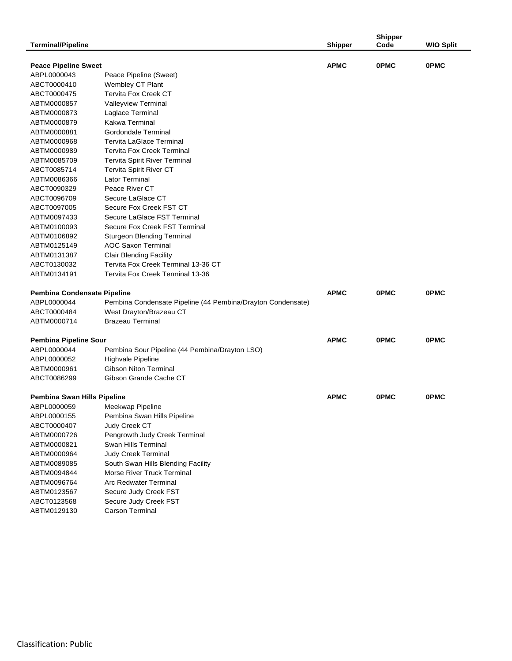|                                    |                                                             |                | <b>Shipper</b> |                  |
|------------------------------------|-------------------------------------------------------------|----------------|----------------|------------------|
| Terminal/Pipeline                  |                                                             | <b>Shipper</b> | Code           | <b>WIO Split</b> |
|                                    |                                                             |                |                |                  |
| <b>Peace Pipeline Sweet</b>        |                                                             | <b>APMC</b>    | <b>OPMC</b>    | <b>OPMC</b>      |
| ABPL0000043                        | Peace Pipeline (Sweet)                                      |                |                |                  |
| ABCT0000410                        | Wembley CT Plant                                            |                |                |                  |
| ABCT0000475                        | <b>Tervita Fox Creek CT</b>                                 |                |                |                  |
| ABTM0000857                        | Valleyview Terminal                                         |                |                |                  |
| ABTM0000873                        | Laglace Terminal                                            |                |                |                  |
| ABTM0000879                        | Kakwa Terminal                                              |                |                |                  |
| ABTM0000881                        | Gordondale Terminal                                         |                |                |                  |
| ABTM0000968                        | <b>Tervita LaGlace Terminal</b>                             |                |                |                  |
| ABTM0000989                        | <b>Tervita Fox Creek Terminal</b>                           |                |                |                  |
| ABTM0085709                        | <b>Tervita Spirit River Terminal</b>                        |                |                |                  |
| ABCT0085714                        | Tervita Spirit River CT                                     |                |                |                  |
| ABTM0086366                        | Lator Terminal                                              |                |                |                  |
| ABCT0090329                        | Peace River CT                                              |                |                |                  |
| ABCT0096709                        | Secure LaGlace CT                                           |                |                |                  |
| ABCT0097005                        | Secure Fox Creek FST CT                                     |                |                |                  |
| ABTM0097433                        | Secure LaGlace FST Terminal                                 |                |                |                  |
| ABTM0100093                        | Secure Fox Creek FST Terminal                               |                |                |                  |
| ABTM0106892                        | Sturgeon Blending Terminal                                  |                |                |                  |
| ABTM0125149                        | <b>AOC Saxon Terminal</b>                                   |                |                |                  |
| ABTM0131387                        | <b>Clair Blending Facility</b>                              |                |                |                  |
| ABCT0130032                        | Tervita Fox Creek Terminal 13-36 CT                         |                |                |                  |
| ABTM0134191                        | Tervita Fox Creek Terminal 13-36                            |                |                |                  |
|                                    |                                                             |                |                |                  |
| <b>Pembina Condensate Pipeline</b> |                                                             | <b>APMC</b>    | <b>OPMC</b>    | <b>OPMC</b>      |
| ABPL0000044                        | Pembina Condensate Pipeline (44 Pembina/Drayton Condensate) |                |                |                  |
| ABCT0000484                        | West Drayton/Brazeau CT                                     |                |                |                  |
| ABTM0000714                        | <b>Brazeau Terminal</b>                                     |                |                |                  |
|                                    |                                                             |                |                |                  |
| <b>Pembina Pipeline Sour</b>       |                                                             | <b>APMC</b>    | <b>OPMC</b>    | <b>OPMC</b>      |
| ABPL0000044                        | Pembina Sour Pipeline (44 Pembina/Drayton LSO)              |                |                |                  |
| ABPL0000052                        | Highvale Pipeline                                           |                |                |                  |
| ABTM0000961                        | Gibson Niton Terminal                                       |                |                |                  |
| ABCT0086299                        | Gibson Grande Cache CT                                      |                |                |                  |
|                                    |                                                             |                |                |                  |
| Pembina Swan Hills Pipeline        |                                                             | <b>APMC</b>    | <b>OPMC</b>    | <b>OPMC</b>      |
| ABPL0000059                        | Meekwap Pipeline                                            |                |                |                  |
| ABPL0000155                        | Pembina Swan Hills Pipeline                                 |                |                |                  |
| ABCT0000407                        | Judy Creek CT                                               |                |                |                  |
| ABTM0000726                        | Pengrowth Judy Creek Terminal                               |                |                |                  |
| ABTM0000821                        | Swan Hills Terminal                                         |                |                |                  |
| ABTM0000964                        | <b>Judy Creek Terminal</b>                                  |                |                |                  |
| ABTM0089085                        | South Swan Hills Blending Facility                          |                |                |                  |
| ABTM0094844                        | <b>Morse River Truck Terminal</b>                           |                |                |                  |
| ABTM0096764                        | Arc Redwater Terminal                                       |                |                |                  |
| ABTM0123567                        | Secure Judy Creek FST                                       |                |                |                  |
| ABCT0123568                        | Secure Judy Creek FST                                       |                |                |                  |
| ABTM0129130                        | <b>Carson Terminal</b>                                      |                |                |                  |
|                                    |                                                             |                |                |                  |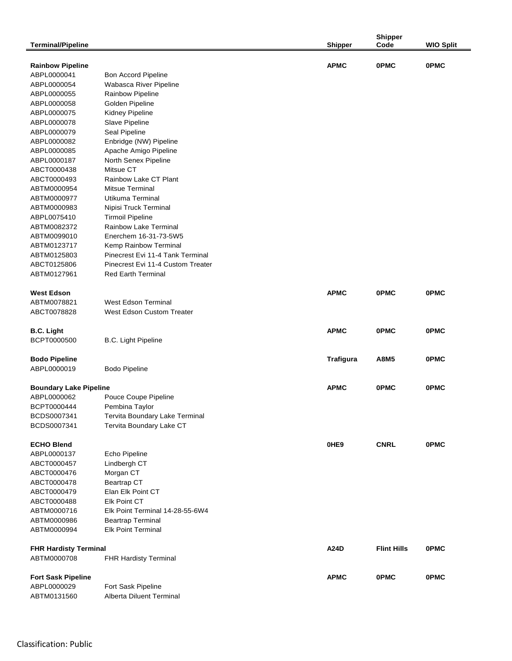|                               |                                   |                  | <b>Shipper</b>     |                  |
|-------------------------------|-----------------------------------|------------------|--------------------|------------------|
| <b>Terminal/Pipeline</b>      |                                   | <b>Shipper</b>   | Code               | <b>WIO Split</b> |
| <b>Rainbow Pipeline</b>       |                                   | <b>APMC</b>      | <b>OPMC</b>        | <b>OPMC</b>      |
| ABPL0000041                   | <b>Bon Accord Pipeline</b>        |                  |                    |                  |
| ABPL0000054                   | Wabasca River Pipeline            |                  |                    |                  |
| ABPL0000055                   | Rainbow Pipeline                  |                  |                    |                  |
| ABPL0000058                   | Golden Pipeline                   |                  |                    |                  |
| ABPL0000075                   | Kidney Pipeline                   |                  |                    |                  |
| ABPL0000078                   | Slave Pipeline                    |                  |                    |                  |
| ABPL0000079                   | Seal Pipeline                     |                  |                    |                  |
| ABPL0000082                   | Enbridge (NW) Pipeline            |                  |                    |                  |
| ABPL0000085                   | Apache Amigo Pipeline             |                  |                    |                  |
| ABPL0000187                   | North Senex Pipeline              |                  |                    |                  |
| ABCT0000438                   | Mitsue CT                         |                  |                    |                  |
| ABCT0000493                   | Rainbow Lake CT Plant             |                  |                    |                  |
| ABTM0000954                   | <b>Mitsue Terminal</b>            |                  |                    |                  |
| ABTM0000977                   | Utikuma Terminal                  |                  |                    |                  |
| ABTM0000983                   | Nipisi Truck Terminal             |                  |                    |                  |
| ABPL0075410                   | <b>Tirmoil Pipeline</b>           |                  |                    |                  |
| ABTM0082372                   | Rainbow Lake Terminal             |                  |                    |                  |
| ABTM0099010                   | Enerchem 16-31-73-5W5             |                  |                    |                  |
| ABTM0123717                   | Kemp Rainbow Terminal             |                  |                    |                  |
| ABTM0125803                   | Pinecrest Evi 11-4 Tank Terminal  |                  |                    |                  |
| ABCT0125806                   | Pinecrest Evi 11-4 Custom Treater |                  |                    |                  |
| ABTM0127961                   | <b>Red Earth Terminal</b>         |                  |                    |                  |
|                               |                                   |                  |                    |                  |
| <b>West Edson</b>             |                                   | <b>APMC</b>      | <b>OPMC</b>        | <b>OPMC</b>      |
| ABTM0078821                   | <b>West Edson Terminal</b>        |                  |                    |                  |
| ABCT0078828                   | <b>West Edson Custom Treater</b>  |                  |                    |                  |
|                               |                                   |                  |                    |                  |
| <b>B.C. Light</b>             |                                   | <b>APMC</b>      | <b>OPMC</b>        | <b>OPMC</b>      |
| BCPT0000500                   | B.C. Light Pipeline               |                  |                    |                  |
|                               |                                   |                  |                    |                  |
| <b>Bodo Pipeline</b>          |                                   | <b>Trafigura</b> | A8M5               | <b>OPMC</b>      |
| ABPL0000019                   | <b>Bodo Pipeline</b>              |                  |                    |                  |
|                               |                                   |                  |                    |                  |
| <b>Boundary Lake Pipeline</b> |                                   | <b>APMC</b>      | <b>OPMC</b>        | <b>OPMC</b>      |
| ABPL0000062                   | Pouce Coupe Pipeline              |                  |                    |                  |
| BCPT0000444                   | Pembina Taylor                    |                  |                    |                  |
| BCDS0007341                   | Tervita Boundary Lake Terminal    |                  |                    |                  |
| BCDS0007341                   | Tervita Boundary Lake CT          |                  |                    |                  |
|                               |                                   |                  |                    |                  |
| <b>ECHO Blend</b>             |                                   | 0HE9             | <b>CNRL</b>        | <b>OPMC</b>      |
| ABPL0000137                   | Echo Pipeline                     |                  |                    |                  |
| ABCT0000457                   | Lindbergh CT                      |                  |                    |                  |
| ABCT0000476                   | Morgan CT                         |                  |                    |                  |
| ABCT0000478                   | <b>Beartrap CT</b>                |                  |                    |                  |
| ABCT0000479                   | Elan Elk Point CT                 |                  |                    |                  |
| ABCT0000488                   | <b>Elk Point CT</b>               |                  |                    |                  |
| ABTM0000716                   | Elk Point Terminal 14-28-55-6W4   |                  |                    |                  |
| ABTM0000986                   | <b>Beartrap Terminal</b>          |                  |                    |                  |
| ABTM0000994                   | <b>Elk Point Terminal</b>         |                  |                    |                  |
|                               |                                   |                  |                    |                  |
| <b>FHR Hardisty Terminal</b>  |                                   | A24D             | <b>Flint Hills</b> | <b>OPMC</b>      |
| ABTM0000708                   | FHR Hardisty Terminal             |                  |                    |                  |
|                               |                                   |                  |                    |                  |
| <b>Fort Sask Pipeline</b>     |                                   | <b>APMC</b>      | <b>OPMC</b>        | <b>OPMC</b>      |
| ABPL0000029                   | Fort Sask Pipeline                |                  |                    |                  |
| ABTM0131560                   | Alberta Diluent Terminal          |                  |                    |                  |
|                               |                                   |                  |                    |                  |